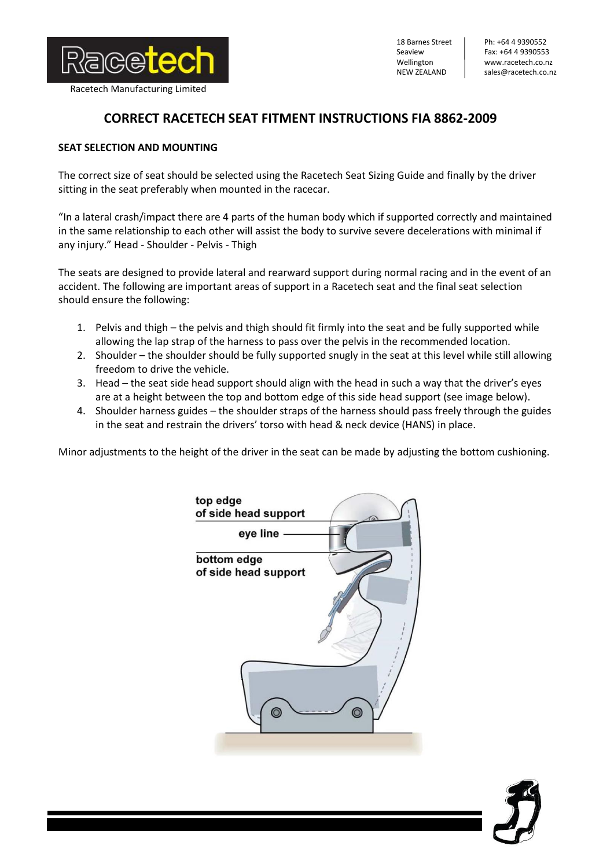

18 Barnes Street Seaview Wellington NEW ZEALAND

Ph: +64 4 9390552 Fax: +64 4 9390553 www.racetech.co.nz sales@racetech.co.nz

## **CORRECT RACETECH SEAT FITMENT INSTRUCTIONS FIA 8862-2009**

## **SEAT SELECTION AND MOUNTING**

The correct size of seat should be selected using the Racetech Seat Sizing Guide and finally by the driver sitting in the seat preferably when mounted in the racecar.

"In a lateral crash/impact there are 4 parts of the human body which if supported correctly and maintained in the same relationship to each other will assist the body to survive severe decelerations with minimal if any injury." Head - Shoulder - Pelvis - Thigh

The seats are designed to provide lateral and rearward support during normal racing and in the event of an accident. The following are important areas of support in a Racetech seat and the final seat selection should ensure the following:

- 1. Pelvis and thigh the pelvis and thigh should fit firmly into the seat and be fully supported while allowing the lap strap of the harness to pass over the pelvis in the recommended location.
- 2. Shoulder the shoulder should be fully supported snugly in the seat at this level while still allowing freedom to drive the vehicle.
- 3. Head the seat side head support should align with the head in such a way that the driver's eyes are at a height between the top and bottom edge of this side head support (see image below).
- 4. Shoulder harness guides the shoulder straps of the harness should pass freely through the guides in the seat and restrain the drivers' torso with head & neck device (HANS) in place.

Minor adjustments to the height of the driver in the seat can be made by adjusting the bottom cushioning.